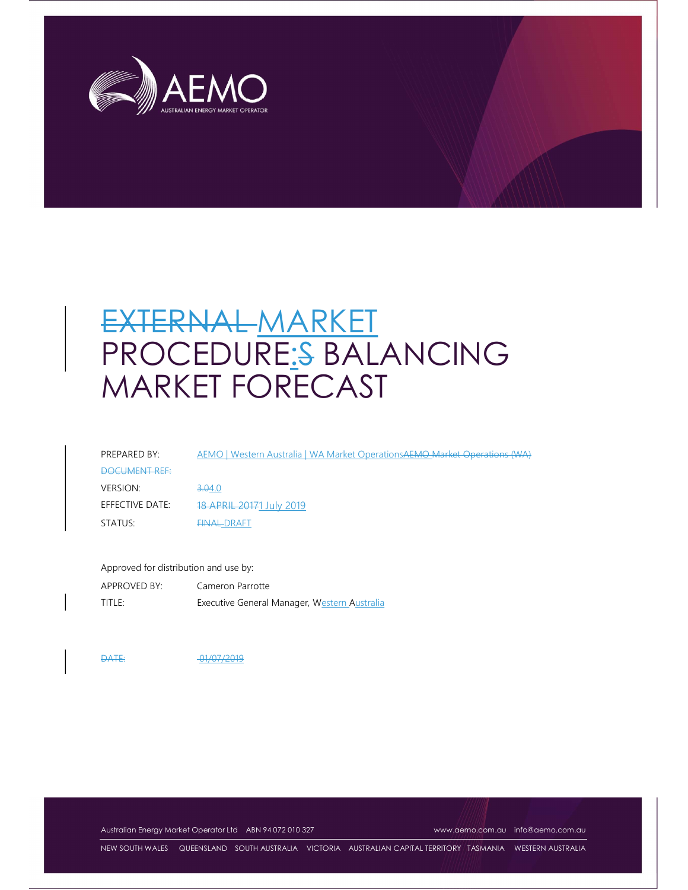

# EXTERNAL MARKET PROCEDURE:S BALANCING MARKET FORECAST

| PREPARED BY:    | AEMO   Western Australia   WA Market Operations AEMO Market Operations (WA) |
|-----------------|-----------------------------------------------------------------------------|
| DOCUMENT REF:   |                                                                             |
| VERSION:        | 3.04.0                                                                      |
| EFFECTIVE DATE: | 18 APRIL 20171 July 2019                                                    |
| STATUS:         | <b>EINALDRAFT</b>                                                           |

Approved for distribution and use by: APPROVED BY: Cameron Parrotte TITLE: Executive General Manager, Western Australia

DATE: 01/07/2019

Australian Energy Market Operator Ltd ABN 94 072 010 327 www.aemo.com.au info@aemo.com.au

NEW SOUTH WALES QUEENSLAND SOUTH AUSTRALIA VICTORIA AUSTRALIAN CAPITAL TERRITORY TASMANIA WESTERN AUSTRALIA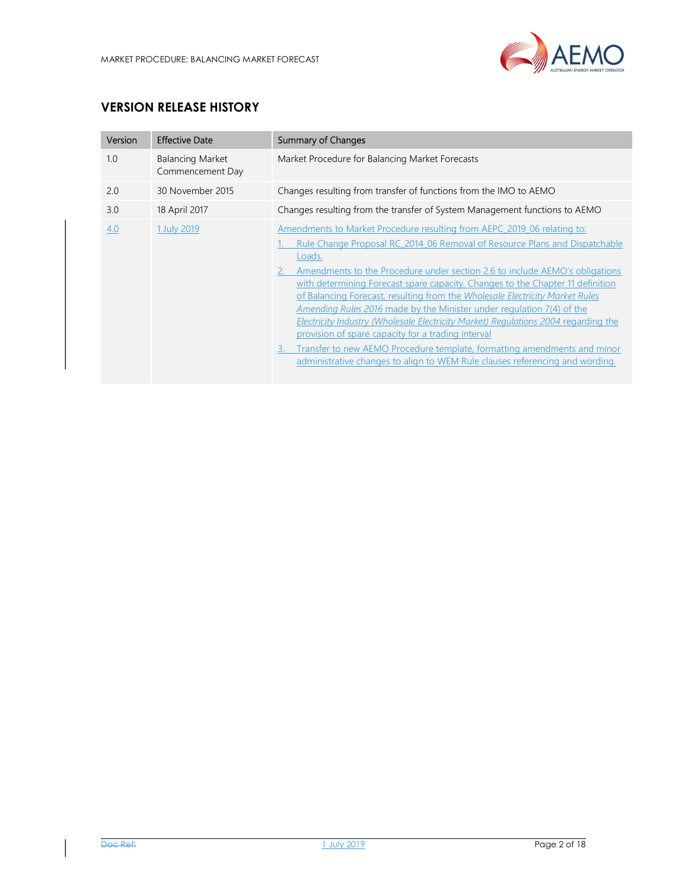

# VERSION RELEASE HISTORY

| Version | <b>Effective Date</b>                       | Summary of Changes                                                                                                                                                                                                                                                                                                                                                                                                                                                                                                                                                                                                                                                                                                                                                                                       |
|---------|---------------------------------------------|----------------------------------------------------------------------------------------------------------------------------------------------------------------------------------------------------------------------------------------------------------------------------------------------------------------------------------------------------------------------------------------------------------------------------------------------------------------------------------------------------------------------------------------------------------------------------------------------------------------------------------------------------------------------------------------------------------------------------------------------------------------------------------------------------------|
| 1.0     | <b>Balancing Market</b><br>Commencement Day | Market Procedure for Balancing Market Forecasts                                                                                                                                                                                                                                                                                                                                                                                                                                                                                                                                                                                                                                                                                                                                                          |
| 2.0     | 30 November 2015                            | Changes resulting from transfer of functions from the IMO to AEMO                                                                                                                                                                                                                                                                                                                                                                                                                                                                                                                                                                                                                                                                                                                                        |
| 3.0     | 18 April 2017                               | Changes resulting from the transfer of System Management functions to AEMO                                                                                                                                                                                                                                                                                                                                                                                                                                                                                                                                                                                                                                                                                                                               |
| 4.0     | 1 July 2019                                 | Amendments to Market Procedure resulting from AEPC 2019 06 relating to:<br>Rule Change Proposal RC 2014 06 Removal of Resource Plans and Dispatchable<br>Loads.<br>Amendments to the Procedure under section 2.6 to include AEMO's obligations<br>with determining Forecast spare capacity. Changes to the Chapter 11 definition<br>of Balancing Forecast, resulting from the Wholesale Electricity Market Rules<br><i>Amending Rules 2016</i> made by the Minister under regulation 7(4) of the<br>Electricity Industry (Wholesale Electricity Market) Regulations 2004 regarding the<br>provision of spare capacity for a trading interval<br>Transfer to new AEMO Procedure template, formatting amendments and minor<br>administrative changes to align to WEM Rule clauses referencing and wording. |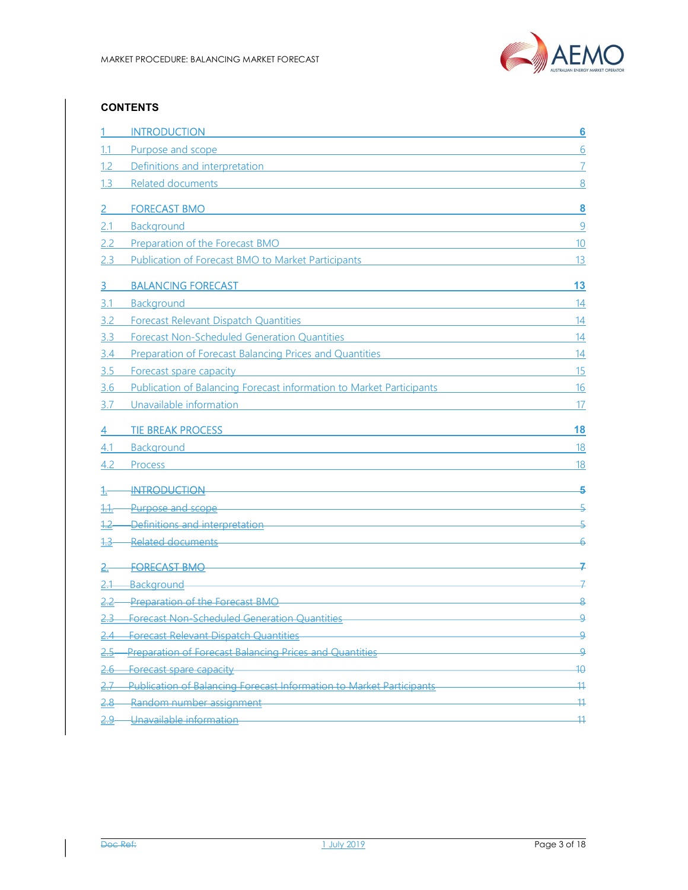

#### **CONTENTS**

|            | <b>INTRODUCTION</b>                                                                                                                                                                                                                                       | 6               |
|------------|-----------------------------------------------------------------------------------------------------------------------------------------------------------------------------------------------------------------------------------------------------------|-----------------|
|            | Purpose and scope<br><u> 1980 - Johann Barbara, martxa alemaniar amerikan personal (h. 1980).</u>                                                                                                                                                         | 6               |
| 1.2        | Definitions and interpretation and the state of the state of the state of the state of the state of the state of the state of the state of the state of the state of the state of the state of the state of the state of the s                            | 7               |
| 1.3        | Related documents and the contract of the contract of the contract of the contract of the contract of the contract of the contract of the contract of the contract of the contract of the contract of the contract of the cont                            | 8               |
|            | <b>FORECAST BMO</b>                                                                                                                                                                                                                                       | 8               |
| 2.1        | Background                                                                                                                                                                                                                                                | 9               |
| 2.2        | Preparation of the Forecast BMO                                                                                                                                                                                                                           | 10              |
| 2.3        | Publication of Forecast BMO to Market Participants                                                                                                                                                                                                        | 13              |
| з          | <b>BALANCING FORECAST</b>                                                                                                                                                                                                                                 | 13              |
| 3.1        | Background                                                                                                                                                                                                                                                | 14              |
| 3.2        | Forecast Relevant Dispatch Quantities                                                                                                                                                                                                                     | 14              |
| 3.3        | <b>Forecast Non-Scheduled Generation Quantities</b>                                                                                                                                                                                                       | 14              |
| 3.4        | Preparation of Forecast Balancing Prices and Quantities<br><u> 1980 - Johann Barn, mars ann an t-Amhain an t-Amhain an t-Amhain an t-Amhain an t-Amhain an t-Amhain an t-A</u>                                                                            | 14              |
| 3.5        | Forecast spare capacity                                                                                                                                                                                                                                   | 15              |
| <u>3.6</u> | Publication of Balancing Forecast information to Market Participants                                                                                                                                                                                      | 16              |
| 3.7        | Unavailable information                                                                                                                                                                                                                                   | 17              |
|            | <b>TIE BREAK PROCESS</b><br>the control of the control of the control of the control of the control of the control of the control of the control of the control of the control of the control of the control of the control of the control of the control | 18              |
| 4.1        | Background                                                                                                                                                                                                                                                | 18              |
| 4.2        | Process                                                                                                                                                                                                                                                   | 18              |
|            | <u> 1989 - Johann Barn, mars ann an t-Amhain Aonaichte ann an t-Aonaichte ann an t-Aonaichte ann an t-Aonaichte a</u><br><b>INTRODUCTION</b>                                                                                                              | 5               |
|            | Purpose and scope and scope and contact the contract of the contact of the contact of the contact of the contact of the contact of the contact of the contact of the contact of the contact of the contact of the contact of t                            | 도               |
|            | Definitions and interpretation                                                                                                                                                                                                                            |                 |
|            | and the control of the control of the control of the control of the control of the control of the control of the<br>Related documents                                                                                                                     |                 |
|            | <b>FORECAST BMO</b>                                                                                                                                                                                                                                       |                 |
|            | a sa mga bangay na mga bangay na mga bangay ng mga bangay ng mga bangay ng mga bangay ng mga bangay ng mga ban<br><b>Background</b>                                                                                                                       | ユ               |
|            | Preparation of the Forecast BMO                                                                                                                                                                                                                           | 8               |
|            | <b>Forecast Non-Scheduled Generation Quantities</b>                                                                                                                                                                                                       | <u>٩</u>        |
|            | <b>Forecast Relevant Dispatch Quantities</b>                                                                                                                                                                                                              | 9               |
|            | Preparation of Forecast Balancing Prices and Quantities                                                                                                                                                                                                   | ؋               |
| <u>2.6</u> | <b>Forecast spare capacity</b>                                                                                                                                                                                                                            | $\overline{40}$ |
|            | <b>Publication of Balancing Forecast Information to Market Participants</b>                                                                                                                                                                               | $+11$           |
| $2.8 -$    | Random number assignment                                                                                                                                                                                                                                  | -11             |
| 2.9.       | Unavailable information                                                                                                                                                                                                                                   | 44              |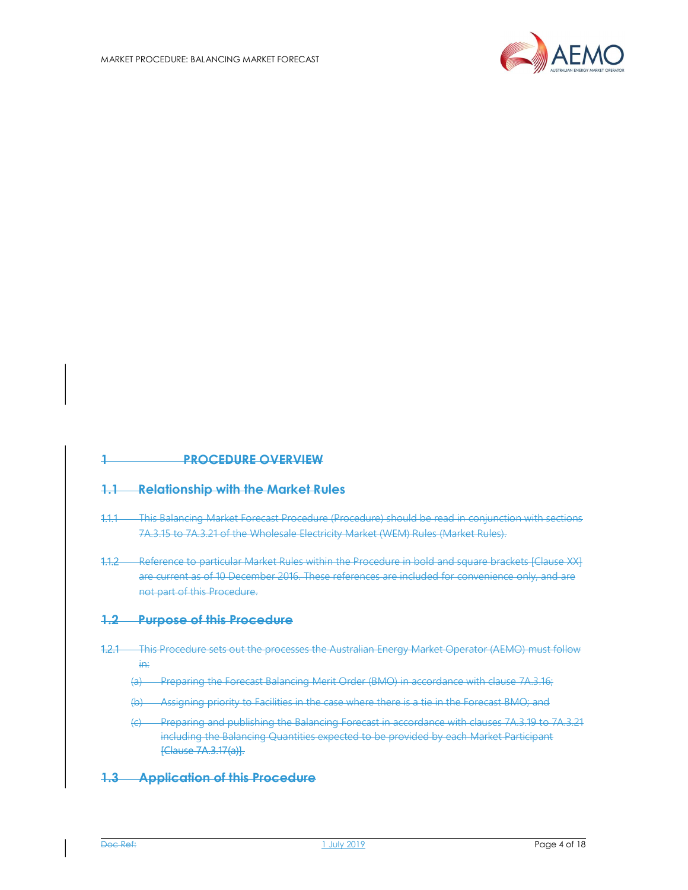

## 1 PROCEDURE OVERVIEW

#### 1.1 Relationship with the Market Rules

- 1.1.1 This Balancing Market Forecast Procedure (Procedure) should be read in conjunction with sections 7A.3.15 to 7A.3.21 of the Wholesale Electricity Market (WEM) Rules (Market Rules).
- 1.1.2 Reference to particular Market Rules within the Procedure in bold and square brackets [Clause XX] are current as of 10 December 2016. These references are included for convenience only, and are not part of this Procedure.

#### 1.2 Purpose of this Procedure

- 1.2.1 This Procedure sets out the processes the Australian Energy Market Operator (AEMO) must follow in:
	- (a) Preparing the Forecast Balancing Merit Order (BMO) in accordance with clause 7A.3.16;
	- (b) Assigning priority to Facilities in the case where there is a tie in the Forecast BMO; and
	- (c) Preparing and publishing the Balancing Forecast in accordance with clauses 7A.3.19 to 7A.3.21 including the Balancing Quantities expected to be provided by each Market Participant [Clause 7A.3.17(a)].

#### 1.3 Application of this Procedure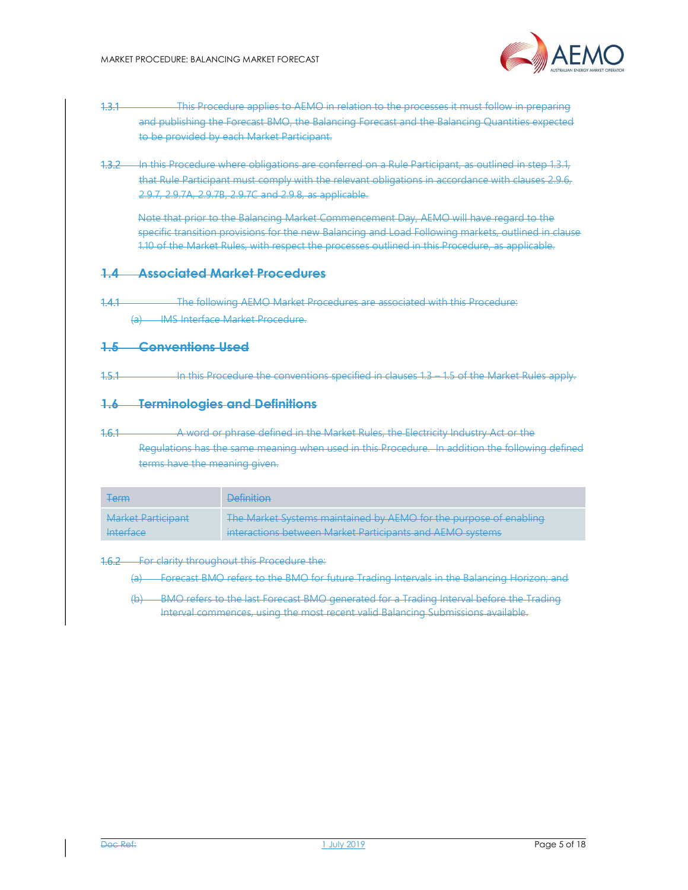

- 1.3.1 This Procedure applies to AEMO in relation to the processes it must follow in preparing and publishing the Forecast BMO, the Balancing Forecast and the Balancing Quantities expected to be provided by each Market Participant.
- 1.3.2 In this Procedure where obligations are conferred on a Rule Participant, as outlined in step 1.3.1, that Rule Participant must comply with the relevant obligations in accordance with clauses 2.9.6, 2.9.7, 2.9.7A, 2.9.7B, 2.9.7C and 2.9.8, as applicable.

Note that prior to the Balancing Market Commencement Day, AEMO will have regard to the specific transition provisions for the new Balancing and Load Following markets, outlined in clause 1.10 of the Market Rules, with respect the processes outlined in this Procedure, as applicable.

#### 1.4 Associated Market Procedures

1.4.1 The following AEMO Market Procedures are associated with this Procedure: (a) IMS Interface Market Procedure.

#### 1.5 Conventions Used

1.5.1 **In this Procedure the conventions specified in clauses** 1.3 – 1.5 of the Market Rules apply.

#### 1.6 Terminologies and Definitions

1.6.1 A word or phrase defined in the Market Rules, the Electricity Industry Act or the Regulations has the same meaning when used in this Procedure. In addition the following defined terms have the meaning given.

| <b>Term</b>        | <b>Definition</b>                                                 |
|--------------------|-------------------------------------------------------------------|
| Market Participant | The Market Systems maintained by AEMO for the purpose of enabling |
| Interface          | interactions between Market Participants and AEMO systems         |

#### 1.6.2 For clarity throughout this Procedure the:

(a) Forecast BMO refers to the BMO for future Trading Intervals in the Balancing Horizon; and

(b) BMO refers to the last Forecast BMO generated for a Trading Interval before the Trading Interval commences, using the most recent valid Balancing Submissions available.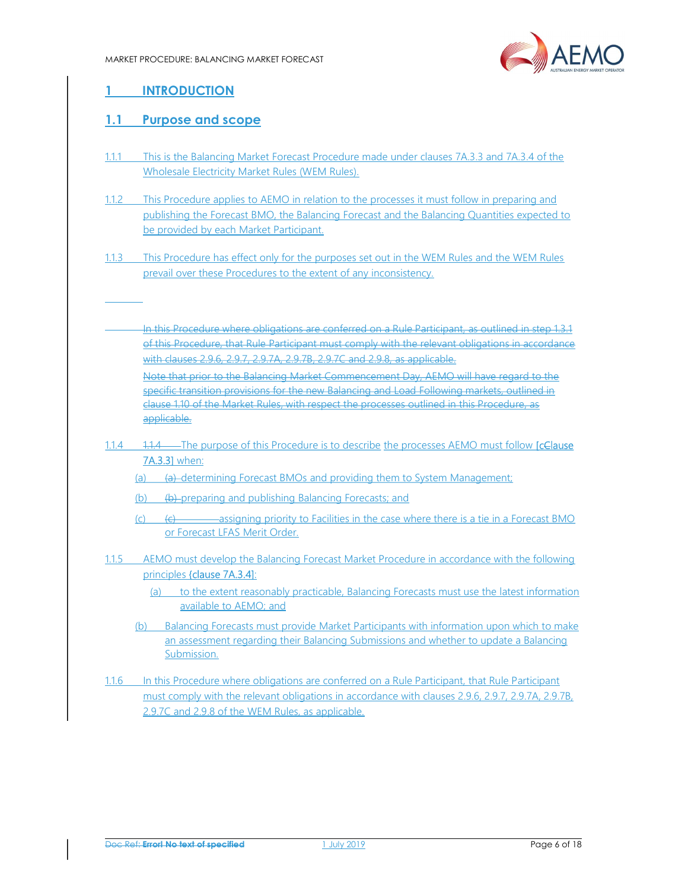

# 1 INTRODUCTION

# 1.1 Purpose and scope

- 1.1.1 This is the Balancing Market Forecast Procedure made under clauses 7A.3.3 and 7A.3.4 of the Wholesale Electricity Market Rules (WEM Rules).
- 1.1.2 This Procedure applies to AEMO in relation to the processes it must follow in preparing and publishing the Forecast BMO, the Balancing Forecast and the Balancing Quantities expected to be provided by each Market Participant.
- 1.1.3 This Procedure has effect only for the purposes set out in the WEM Rules and the WEM Rules prevail over these Procedures to the extent of any inconsistency.
	- In this Procedure where obligations are conferred on a Rule Participant, as outlined in step 1.3.1 of this Procedure, that Rule Participant must comply with the relevant obligations in accordance with clauses 2.9.6, 2.9.7, 2.9.7A, 2.9.7B, 2.9.7C and 2.9.8, as applicable.

Note that prior to the Balancing Market Commencement Day, AEMO will have regard to the specific transition provisions for the new Balancing and Load Following markets, outlined in clause 1.10 of the Market Rules, with respect the processes outlined in this Procedure, as applicable.

- 1.1.4 1.1.4 The purpose of this Procedure is to describe the processes AEMO must follow [cClause] 7A.3.3] when:
	- (a) (a) determining Forecast BMOs and providing them to System Management;
	- (b)  $\left( \theta \right)$  preparing and publishing Balancing Forecasts; and
	- $\overline{c}$  (c)  $\overline{c}$  (c)  $\overline{c}$  assigning priority to Facilities in the case where there is a tie in a Forecast BMO or Forecast LFAS Merit Order.
- 1.1.5 AEMO must develop the Balancing Forecast Market Procedure in accordance with the following principles {clause 7A.3.4]:
	- (a) to the extent reasonably practicable, Balancing Forecasts must use the latest information available to AEMO; and
	- (b) Balancing Forecasts must provide Market Participants with information upon which to make an assessment regarding their Balancing Submissions and whether to update a Balancing Submission.
- 1.1.6 In this Procedure where obligations are conferred on a Rule Participant, that Rule Participant must comply with the relevant obligations in accordance with clauses 2.9.6, 2.9.7, 2.9.7A, 2.9.7B, 2.9.7C and 2.9.8 of the WEM Rules, as applicable.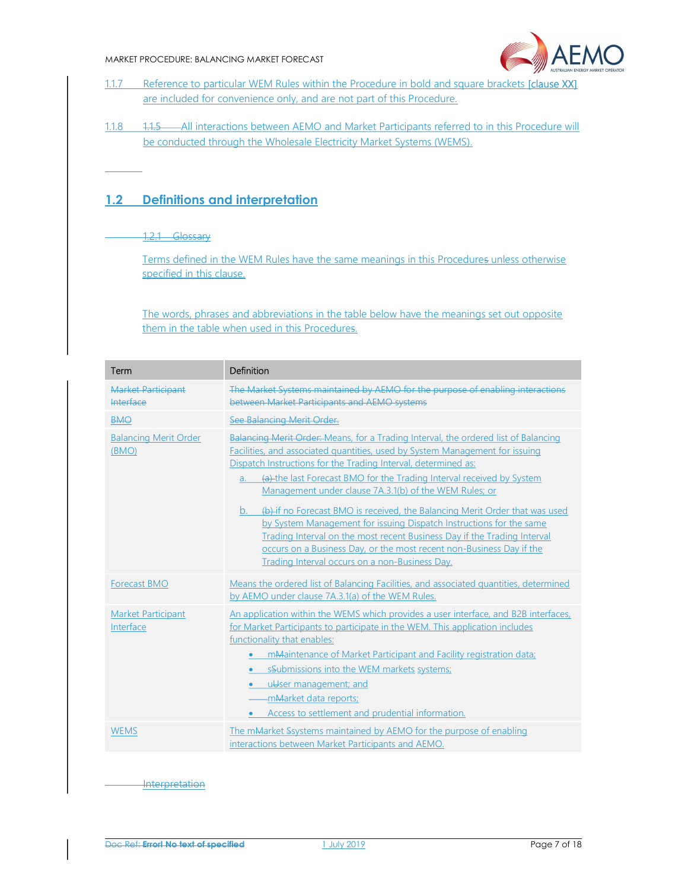#### MARKET PROCEDURE: BALANCING MARKET FORECAST



- 1.1.7 Reference to particular WEM Rules within the Procedure in bold and square brackets [clause XX] are included for convenience only, and are not part of this Procedure.
- 1.1.8 1.1.5 All interactions between AEMO and Market Participants referred to in this Procedure will be conducted through the Wholesale Electricity Market Systems (WEMS).

# 1.2 Definitions and interpretation

#### 1.2.1 Glossary

Terms defined in the WEM Rules have the same meanings in this Procedures unless otherwise specified in this clause.

The words, phrases and abbreviations in the table below have the meanings set out opposite them in the table when used in this Procedures.

| Term                                   | Definition                                                                                                                                                                                                                                                                                                                                                                                                                                                                                                                                                                                                                                                                                                                                       |
|----------------------------------------|--------------------------------------------------------------------------------------------------------------------------------------------------------------------------------------------------------------------------------------------------------------------------------------------------------------------------------------------------------------------------------------------------------------------------------------------------------------------------------------------------------------------------------------------------------------------------------------------------------------------------------------------------------------------------------------------------------------------------------------------------|
| Market Participant<br><b>Interface</b> | The Market Systems maintained by AEMO for the purpose of enabling interactions<br>between Market Participants and AEMO systems                                                                                                                                                                                                                                                                                                                                                                                                                                                                                                                                                                                                                   |
| <b>BMO</b>                             | See Balancing Merit Order.                                                                                                                                                                                                                                                                                                                                                                                                                                                                                                                                                                                                                                                                                                                       |
| <b>Balancing Merit Order</b><br>(BMO)  | Balancing Merit Order: Means, for a Trading Interval, the ordered list of Balancing<br>Facilities, and associated quantities, used by System Management for issuing<br>Dispatch Instructions for the Trading Interval, determined as:<br>(a) the last Forecast BMO for the Trading Interval received by System<br>a.<br>Management under clause 7A.3.1(b) of the WEM Rules; or<br>(b)-if no Forecast BMO is received, the Balancing Merit Order that was used<br>b.<br>by System Management for issuing Dispatch Instructions for the same<br>Trading Interval on the most recent Business Day if the Trading Interval<br>occurs on a Business Day, or the most recent non-Business Day if the<br>Trading Interval occurs on a non-Business Day. |
| <b>Forecast BMO</b>                    | Means the ordered list of Balancing Facilities, and associated quantities, determined<br>by AEMO under clause 7A.3.1(a) of the WEM Rules.                                                                                                                                                                                                                                                                                                                                                                                                                                                                                                                                                                                                        |
| <b>Market Participant</b><br>Interface | An application within the WEMS which provides a user interface, and B2B interfaces,<br>for Market Participants to participate in the WEM. This application includes<br>functionality that enables:<br>mMaintenance of Market Participant and Facility registration data;<br>$\bullet$<br>• sSubmissions into the WEM markets systems;<br>uUser management; and<br>$\bullet$<br>-mMarket data reports;<br>• Access to settlement and prudential information.                                                                                                                                                                                                                                                                                      |
| <b>WEMS</b>                            | The mMarket Ssystems maintained by AEMO for the purpose of enabling<br>interactions between Market Participants and AEMO.                                                                                                                                                                                                                                                                                                                                                                                                                                                                                                                                                                                                                        |
|                                        |                                                                                                                                                                                                                                                                                                                                                                                                                                                                                                                                                                                                                                                                                                                                                  |

**Interpretation**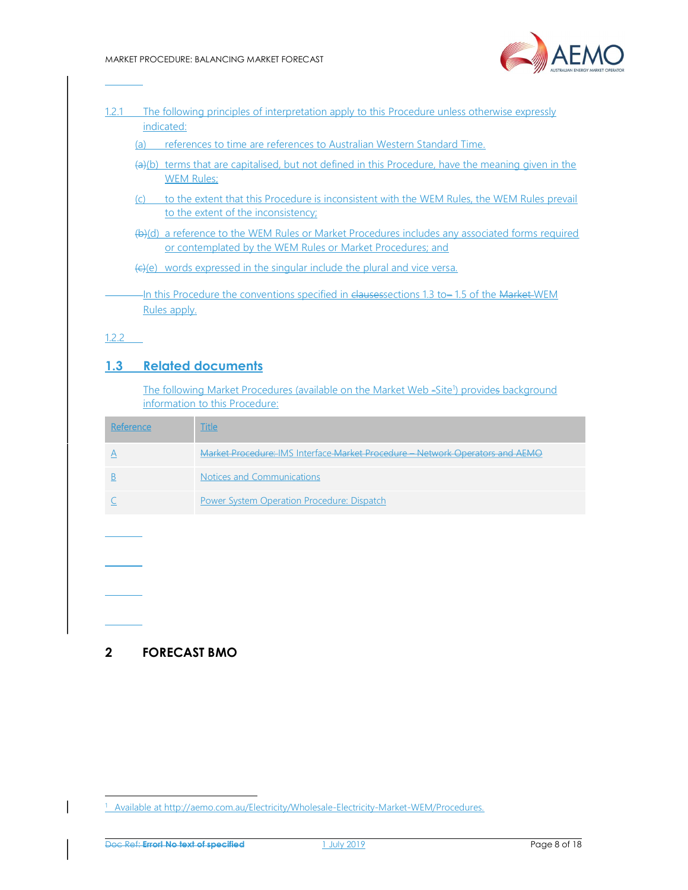

| 1.2.1 | The following principles of interpretation apply to this Procedure unless otherwise expressly |
|-------|-----------------------------------------------------------------------------------------------|
|       | indicated:                                                                                    |

(a) references to time are references to Australian Western Standard Time.

- (a)(b) terms that are capitalised, but not defined in this Procedure, have the meaning given in the WEM Rules;
- (c) to the extent that this Procedure is inconsistent with the WEM Rules, the WEM Rules prevail to the extent of the inconsistency;
- (b)(d) a reference to the WEM Rules or Market Procedures includes any associated forms required or contemplated by the WEM Rules or Market Procedures; and

 $E(E)(e)$  words expressed in the singular include the plural and vice versa.

In this Procedure the conventions specified in clausessections 1.3 to – 1.5 of the Market WEM Rules apply.

1.2.2

## 1.3 Related documents

The following Market Procedures (available on the Market Web -Site<sup>1</sup>) provides background information to this Procedure:

| ference | Title                                                                         |
|---------|-------------------------------------------------------------------------------|
|         | Market Procedure: IMS Interface Market Procedure - Network Operators and AEMO |
|         | Notices and Communications                                                    |
|         | Power System Operation Procedure: Dispatch                                    |

2 FORECAST BMO

-

<sup>&</sup>lt;sup>1</sup> Available at http://aemo.com.au/Electricity/Wholesale-Electricity-Market-WEM/Procedures.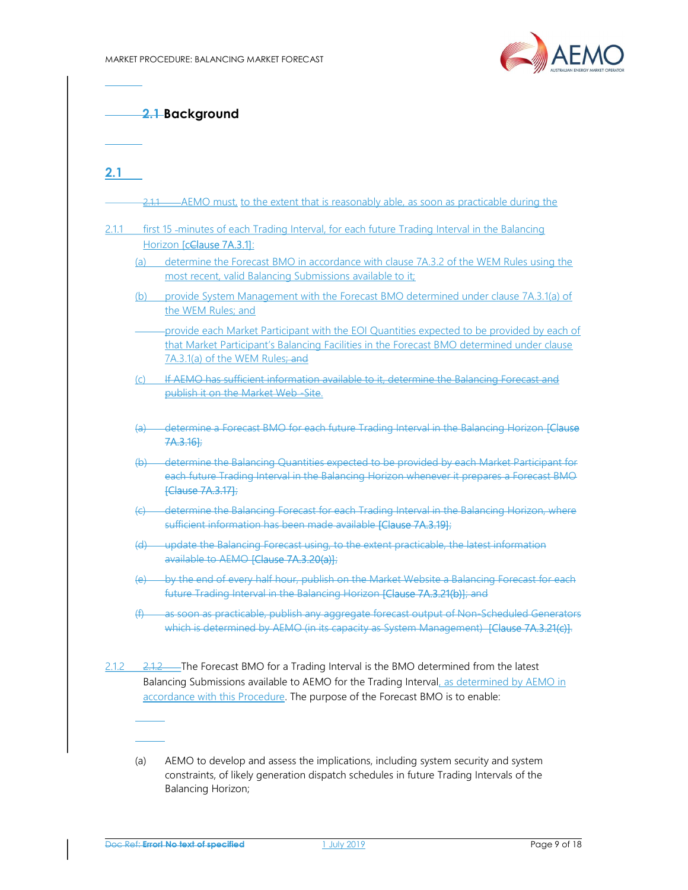

2.1 Background

2.1

| (a)            | Horizon [cClause 7A.3.1]:<br>determine the Forecast BMO in accordance with clause 7A.3.2 of the WEM Rules using the<br>most recent, valid Balancing Submissions available to it;<br>(b) provide System Management with the Forecast BMO determined under clause 7A.3.1(a) of<br>the WEM Rules; and |
|----------------|----------------------------------------------------------------------------------------------------------------------------------------------------------------------------------------------------------------------------------------------------------------------------------------------------|
|                | provide each Market Participant with the EOI Quantities expected to be provided by each of                                                                                                                                                                                                         |
|                |                                                                                                                                                                                                                                                                                                    |
|                |                                                                                                                                                                                                                                                                                                    |
|                | that Market Participant's Balancing Facilities in the Forecast BMO determined under clause<br>7A.3.1(a) of the WEM Rules; and                                                                                                                                                                      |
| (c)            | If AEMO has sufficient information available to it, determine the Balancing Forecast and<br>publish it on the Market Web-Site.                                                                                                                                                                     |
| <del>(a)</del> | determine a Forecast BMO for each future Trading Interval in the Balancing Horizon [Clause<br>7A.3.16];                                                                                                                                                                                            |
|                | (b) determine the Balancing Quantities expected to be provided by each Market Participant for<br>each future Trading Interval in the Balancing Horizon whenever it prepares a Forecast BMO<br>[Clause 7A.3.17];                                                                                    |
|                | (c) determine the Balancing Forecast for each Trading Interval in the Balancing Horizon, where<br>sufficient information has been made available [Clause 7A.3.19];                                                                                                                                 |
|                | (d) update the Balancing Forecast using, to the extent practicable, the latest information<br>available to AEMO [Clause 7A.3.20(a)];                                                                                                                                                               |
|                | (e) by the end of every half hour, publish on the Market Website a Balancing Forecast for each<br>future Trading Interval in the Balancing Horizon [Clause 7A.3.21(b)]; and                                                                                                                        |
|                | (f) as soon as practicable, publish any aggregate forecast output of Non-Scheduled Generators<br>which is determined by AEMO (in its capacity as System Management) [Clause 7A.3.21(c)].                                                                                                           |

(a) AEMO to develop and assess the implications, including system security and system constraints, of likely generation dispatch schedules in future Trading Intervals of the Balancing Horizon;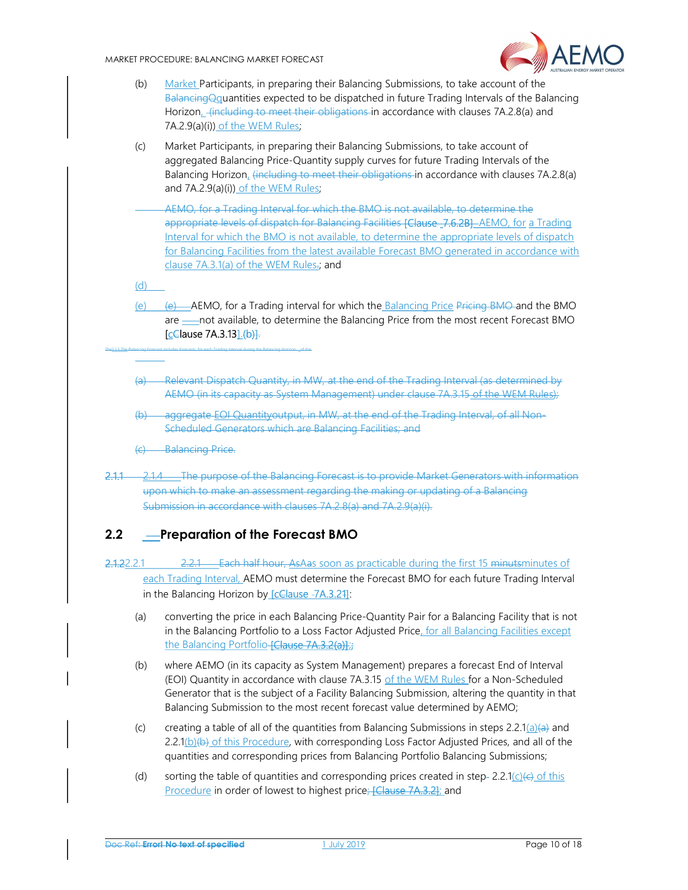MARKET PROCEDURE: BALANCING MARKET FORECAST



- (b) Market Participants, in preparing their Balancing Submissions, to take account of the BalancingQquantities expected to be dispatched in future Trading Intervals of the Balancing Horizon<sub>-</sub>(including to meet their obligations in accordance with clauses 7A.2.8(a) and 7A.2.9(a)(i)) of the WEM Rules;
- (c) Market Participants, in preparing their Balancing Submissions, to take account of aggregated Balancing Price-Quantity supply curves for future Trading Intervals of the Balancing Horizon, (including to meet their obligations in accordance with clauses 7A.2.8(a) and 7A.2.9(a)(i)) of the WEM Rules;
	- AEMO, for a Trading Interval for which the BMO is not available, to determine the appropriate levels of dispatch for Balancing Facilities [Clause 7.6.2B] AEMO, for a Trading Interval for which the BMO is not available, to determine the appropriate levels of dispatch for Balancing Facilities from the latest available Forecast BMO generated in accordance with clause 7A.3.1(a) of the WEM Rules.; and

(d)

- (e) (e) AEMO, for a Trading interval for which the Balancing Price Pricing BMO and the BMO are  $\equiv$  not available, to determine the Balancing Price from the most recent Forecast BMO [cClause 7A.3.13] (b)].
- (a) Relevant Dispatch Quantity, in MW, at the end of the Trading Interval (as determined by AEMO (in its capacity as System Management) under clause 7A.3.15 of the WEM Rules);
- (b) aggregate EOI Quantityoutput, in MW, at the end of the Trading Interval, of all Non-Scheduled Generators which are Balancing Facilities; and
- **Balancing Price.**

The2.1.3 The Balancing Forecast includes forecasts, for each Trading Interval during the Balancing Horizon, of the

2.1.1 2.1.4 The purpose of the Balancing Forecast is to provide Market Generators with information upon which to make an assessment regarding the making or updating of a Balancing Submission in accordance with clauses 7A.2.8(a) and 7A.2.9(a)(i).

# 2.2 Preparation of the Forecast BMO

- 2.1.22.2.1 2.2.1 Each half hour, AsAas soon as practicable during the first 15 minutsminutes of each Trading Interval, AEMO must determine the Forecast BMO for each future Trading Interval in the Balancing Horizon by [cClause -7A.3.21]:
	- (a) converting the price in each Balancing Price-Quantity Pair for a Balancing Facility that is not in the Balancing Portfolio to a Loss Factor Adjusted Price, for all Balancing Facilities except the Balancing Portfolio-**[Clause 7A.3.2(a)]**;
	- (b) where AEMO (in its capacity as System Management) prepares a forecast End of Interval (EOI) Quantity in accordance with clause 7A.3.15 of the WEM Rules for a Non-Scheduled Generator that is the subject of a Facility Balancing Submission, altering the quantity in that Balancing Submission to the most recent forecast value determined by AEMO;
	- (c) creating a table of all of the quantities from Balancing Submissions in steps 2.2.1(a)(a) and  $2.2.1(b)(b)$  of this Procedure, with corresponding Loss Factor Adjusted Prices, and all of the quantities and corresponding prices from Balancing Portfolio Balancing Submissions;
	- (d) sorting the table of quantities and corresponding prices created in step- 2.2.1(c)( $\epsilon$ ) of this Procedure in order of lowest to highest price; [Clause 7A.3.2]; and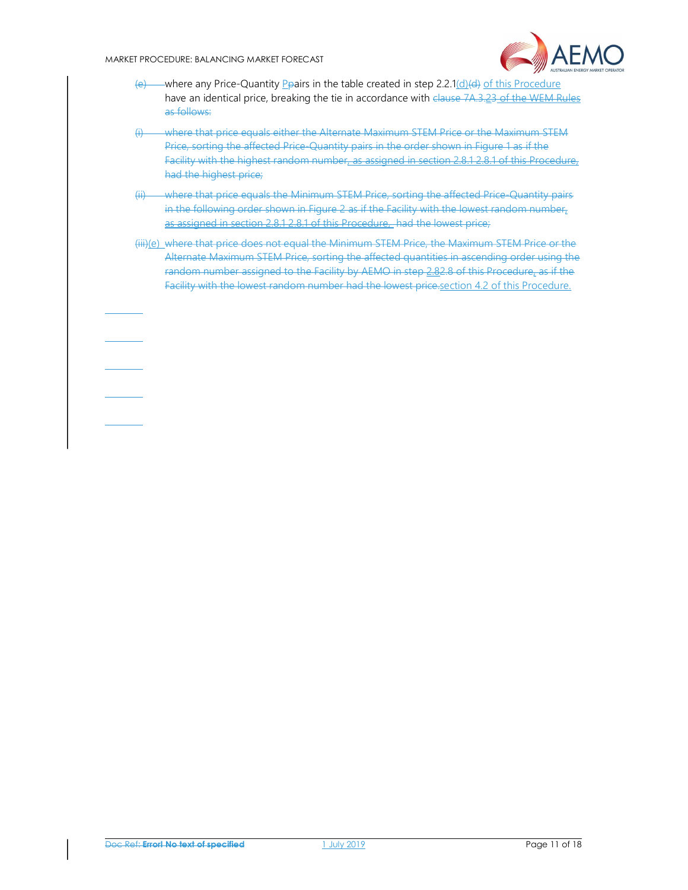#### MARKET PROCEDURE: BALANCING MARKET FORECAST



- $(e)$  where any Price-Quantity *Peairs in the table created in step 2.2.1(d)(d) of this Procedure* have an identical price, breaking the tie in accordance with clause 7A.3.23 of the WEM Rules as follows:
- (i) where that price equals either the Alternate Maximum STEM Price or the Maximum STEM Price, sorting the affected Price-Quantity pairs in the order shown in Figure 1 as if the Facility with the highest random number, as assigned in section 2.8.1 2.8.1 of this Procedure, had the highest price;
- (ii) where that price equals the Minimum STEM Price, sorting the affected Price-Quantity pairs in the following order shown in Figure 2 as if the Facility with the lowest random number, as assigned in section 2.8.1 2.8.1 of this Procedure, had the lowest price;
- (iii)(e) where that price does not equal the Minimum STEM Price, the Maximum STEM Price or the Alternate Maximum STEM Price, sorting the affected quantities in ascending order using the random number assigned to the Facility by AEMO in step 2.82.8 of this Procedure, as if the Facility with the lowest random number had the lowest price.section 4.2 of this Procedure.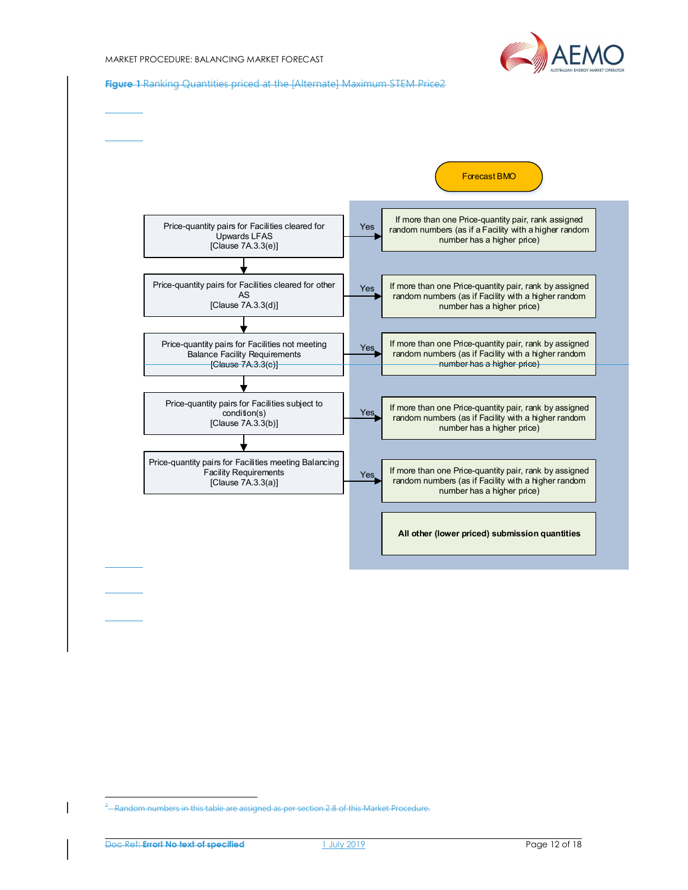

Figure 1 Ranking Quantities priced at the [Alternate] Maximum STEM Price2



-

<sup>&</sup>lt;sup>2</sup> Random numbers in this table are assigned as per section 2.8 of this Market Procedure.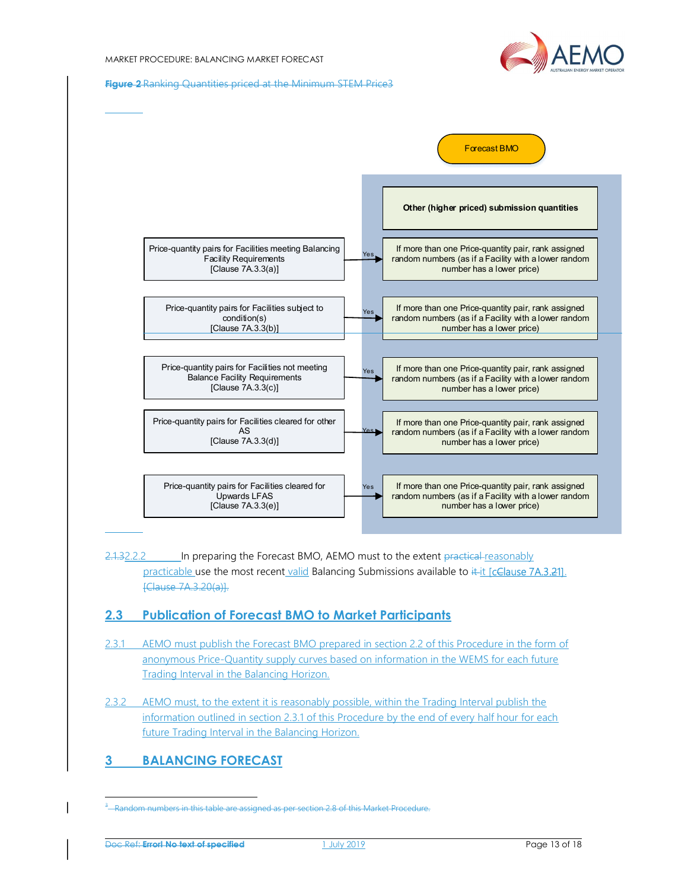

Figure 2 Ranking Quantities priced at the Minimum STEM Price3



2.1.32.2.2 In preparing the Forecast BMO, AEMO must to the extent practical reasonably practicable use the most recent valid Balancing Submissions available to it it [cClause 7A.3.21]. [Clause 7A.3.20(a)].

## 2.3 Publication of Forecast BMO to Market Participants

- 2.3.1 AEMO must publish the Forecast BMO prepared in section 2.2 of this Procedure in the form of anonymous Price-Quantity supply curves based on information in the WEMS for each future Trading Interval in the Balancing Horizon.
- 2.3.2 AEMO must, to the extent it is reasonably possible, within the Trading Interval publish the information outlined in section 2.3.1 of this Procedure by the end of every half hour for each future Trading Interval in the Balancing Horizon.

# 3 BALANCING FORECAST

-

 $3$ —Random numbers in this table are assigned as per section 2.8 of this Market Procedure.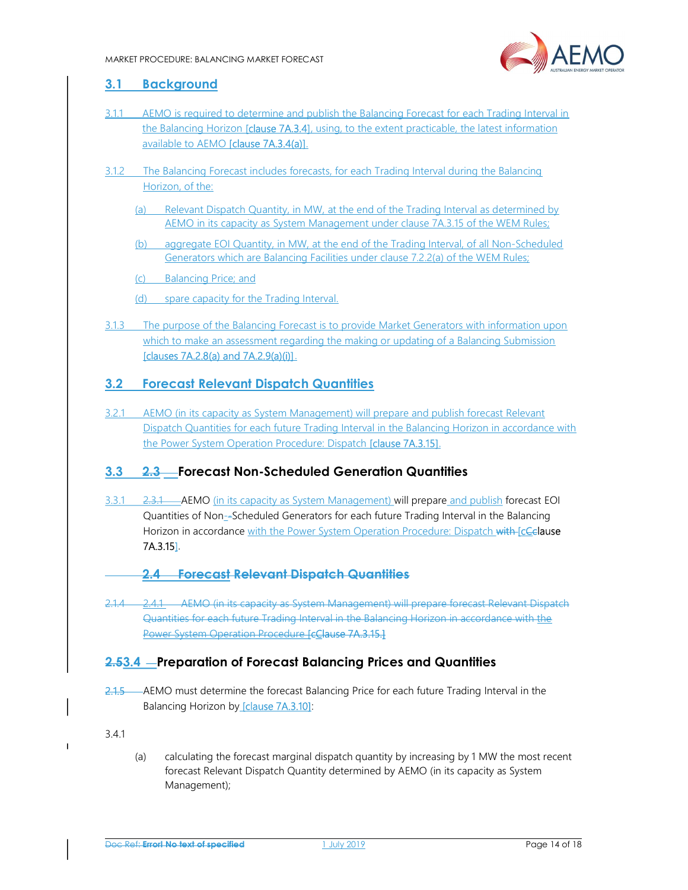

## 3.1 Background

- 3.1.1 AEMO is required to determine and publish the Balancing Forecast for each Trading Interval in the Balancing Horizon [clause 7A.3.4], using, to the extent practicable, the latest information available to AEMO [clause 7A.3.4(a)].
- 3.1.2 The Balancing Forecast includes forecasts, for each Trading Interval during the Balancing Horizon, of the:
	- (a) Relevant Dispatch Quantity, in MW, at the end of the Trading Interval as determined by AEMO in its capacity as System Management under clause 7A.3.15 of the WEM Rules;
	- (b) aggregate EOI Quantity, in MW, at the end of the Trading Interval, of all Non-Scheduled Generators which are Balancing Facilities under clause 7.2.2(a) of the WEM Rules;
	- (c) Balancing Price; and
	- (d) spare capacity for the Trading Interval.
- 3.1.3 The purpose of the Balancing Forecast is to provide Market Generators with information upon which to make an assessment regarding the making or updating of a Balancing Submission [clauses 7A.2.8(a) and 7A.2.9(a)(i)].

# 3.2 Forecast Relevant Dispatch Quantities

3.2.1 AEMO (in its capacity as System Management) will prepare and publish forecast Relevant Dispatch Quantities for each future Trading Interval in the Balancing Horizon in accordance with the Power System Operation Procedure: Dispatch **[clause 7A.3.15]**.

# 3.3 2.3 Forecast Non-Scheduled Generation Quantities

- 3.3.1 2.3.1 AEMO (in its capacity as System Management) will prepare and publish forecast EOI Quantities of Non--Scheduled Generators for each future Trading Interval in the Balancing Horizon in accordance with the Power System Operation Procedure: Dispatch with [cCelause 7A.3.15].
	- 2.4 Forecast Relevant Dispatch Quantities
- 2.1.4 2.4.1 AEMO (in its capacity as System Management) will prepare forecast Relevant Dispatch Quantities for each future Trading Interval in the Balancing Horizon in accordance with the Power System Operation Procedure [cClause 7A.3.15.]

## 2.53.4 – Preparation of Forecast Balancing Prices and Quantities

2.1.5 AEMO must determine the forecast Balancing Price for each future Trading Interval in the Balancing Horizon by **[clause 7A.3.10]**:

3.4.1

(a) calculating the forecast marginal dispatch quantity by increasing by 1 MW the most recent forecast Relevant Dispatch Quantity determined by AEMO (in its capacity as System Management);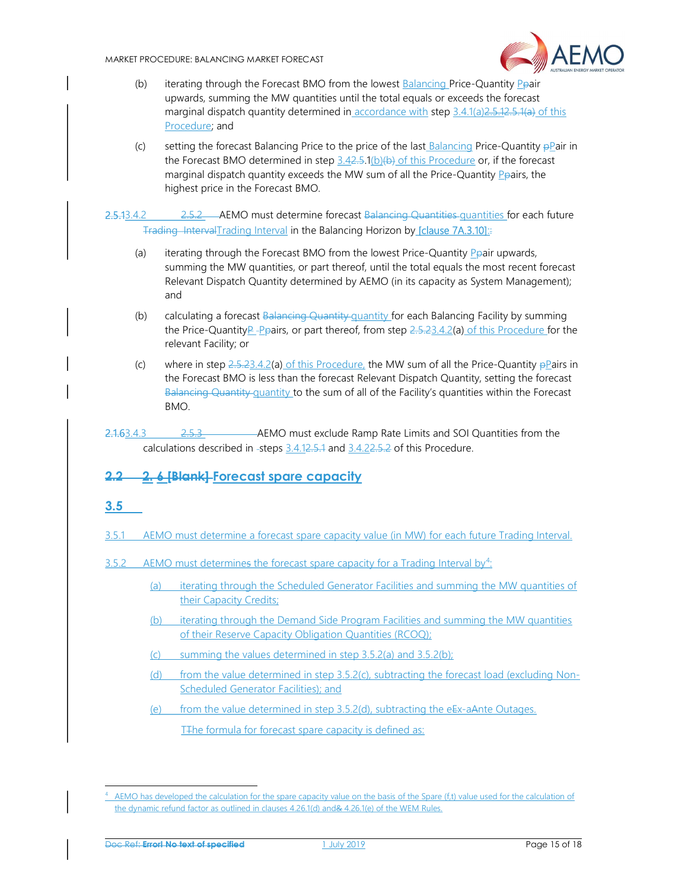

- (b) iterating through the Forecast BMO from the lowest Balancing Price-Quantity Ppair upwards, summing the MW quantities until the total equals or exceeds the forecast marginal dispatch quantity determined in accordance with step 3.4.1(a) 2.5.12.5.1(a) of this Procedure; and
- (c) setting the forecast Balancing Price to the price of the last Balancing Price-Quantity  $\frac{p}{p}$ air in the Forecast BMO determined in step  $3.42.5.1(b)(b)$  of this Procedure or, if the forecast marginal dispatch quantity exceeds the MW sum of all the Price-Quantity Peairs, the highest price in the Forecast BMO.

2.5.13.4.2 2.5.2 AEMO must determine forecast Balancing Quantities quantities for each future Trading IntervalTrading Interval in the Balancing Horizon by [clause 7A.3.10]::

- (a) iterating through the Forecast BMO from the lowest Price-Quantity  $P_P$ air upwards, summing the MW quantities, or part thereof, until the total equals the most recent forecast Relevant Dispatch Quantity determined by AEMO (in its capacity as System Management); and
- (b) calculating a forecast  $B$ alancing Quantity quantity for each Balancing Facility by summing the Price-QuantityP-Ppairs, or part thereof, from step  $2.5.23.4.2(a)$  of this Procedure for the relevant Facility; or
- (c) where in step  $2.5.23.4.2(a)$  of this Procedure, the MW sum of all the Price-Quantity  $\frac{1}{2}$  Pairs in the Forecast BMO is less than the forecast Relevant Dispatch Quantity, setting the forecast Balancing Quantity quantity to the sum of all of the Facility's quantities within the Forecast BMO.
- 2.1.63.4.3 2.5.3 AEMO must exclude Ramp Rate Limits and SOI Quantities from the calculations described in -steps 3.4.12.5.1 and 3.4.22.5.2 of this Procedure.

# 2.2 2. 6 [Blank] Forecast spare capacity

#### 3.5

-

- 3.5.1 AEMO must determine a forecast spare capacity value (in MW) for each future Trading Interval.
- $3.5.2$  AEMO must determines the forecast spare capacity for a Trading Interval by<sup>4</sup>:
	- (a) iterating through the Scheduled Generator Facilities and summing the MW quantities of their Capacity Credits;
	- (b) iterating through the Demand Side Program Facilities and summing the MW quantities of their Reserve Capacity Obligation Quantities (RCOQ);
	- (c) summing the values determined in step 3.5.2(a) and 3.5.2(b);
	- (d) from the value determined in step 3.5.2(c), subtracting the forecast load (excluding Non-Scheduled Generator Facilities); and
	- (e) from the value determined in step  $3.5.2$ (d), subtracting the eEx-aAnte Outages.

T<sub>T</sub>he formula for forecast spare capacity is defined as:

<sup>4</sup> AEMO has developed the calculation for the spare capacity value on the basis of the Spare (f,t) value used for the calculation of the dynamic refund factor as outlined in clauses 4.26.1(d) and& 4.26.1(e) of the WEM Rules.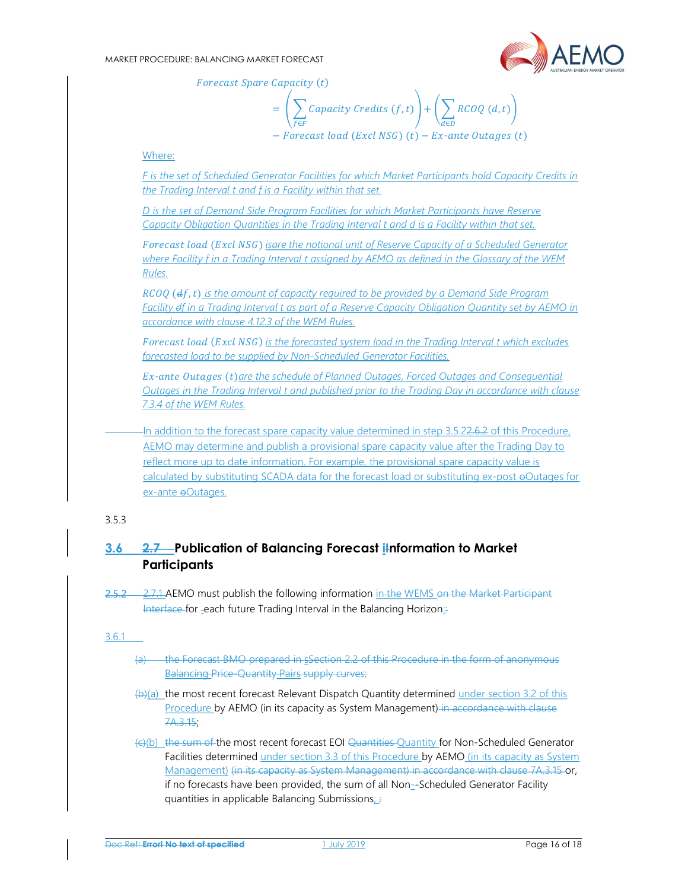

Forecast Spare Capacity (t)

$$
= \left(\sum_{f \in F} Capacity\; Credits\; (f, t)\right) + \left(\sum_{d \in D} RCOQ\; (d, t)\right)
$$
  
- *Forecast load (Excl NSG) (t) - Ex-ante Outages (t)*

#### Where:

F is the set of Scheduled Generator Facilities for which Market Participants hold Capacity Credits in the Trading Interval t and f is a Facility within that set.

D is the set of Demand Side Program Facilities for which Market Participants have Reserve Capacity Obligation Quantities in the Trading Interval t and d is a Facility within that set.

Forecast load (Excl NSG) isare the notional unit of Reserve Capacity of a Scheduled Generator where Facility f in a Trading Interval t assigned by AEMO as defined in the Glossary of the WEM Rules.

 $RCOO$  ( $df$ , t) is the amount of capacity required to be provided by a Demand Side Program Facility df in a Trading Interval t as part of a Reserve Capacity Obligation Quantity set by AEMO in accordance with clause 4.12.3 of the WEM Rules.

Forecast load (Excl NSG) is the forecasted system load in the Trading Interval t which excludes forecasted load to be supplied by Non-Scheduled Generator Facilities.

Ex-ante Outages (t)are the schedule of Planned Outages, Forced Outages and Consequential Outages in the Trading Interval t and published prior to the Trading Day in accordance with clause 7.3.4 of the WEM Rules.

In addition to the forecast spare capacity value determined in step 3.5.22.6.2 of this Procedure, AEMO may determine and publish a provisional spare capacity value after the Trading Day to reflect more up to date information. For example, the provisional spare capacity value is calculated by substituting SCADA data for the forecast load or substituting ex-post oOutages for ex-ante eOutages.

#### 3.5.3

# 3.6 2.7 Publication of Balancing Forecast iInformation to Market **Participants**

2.5.2 2.7.1 AEMO must publish the following information in the WEMS on the Market Participant Interface for -each future Trading Interval in the Balancing Horizon:

#### 3.6.1

- (a) the Forecast BMO prepared in ssection 2.2 of this Procedure in the form of anonymous Balancing Price-Quantity Pairs supply curves;
- $(b)(a)$  the most recent forecast Relevant Dispatch Quantity determined under section 3.2 of this Procedure by AEMO (in its capacity as System Management) in accordance with clause 7A.3.15;
- (c)(b) the sum of the most recent forecast EOI Quantities Quantity for Non-Scheduled Generator Facilities determined under section 3.3 of this Procedure by AEMO (in its capacity as System Management) (in its capacity as System Management) in accordance with clause 7A.3.15 or, if no forecasts have been provided, the sum of all Non--Scheduled Generator Facility quantities in applicable Balancing Submissions; ;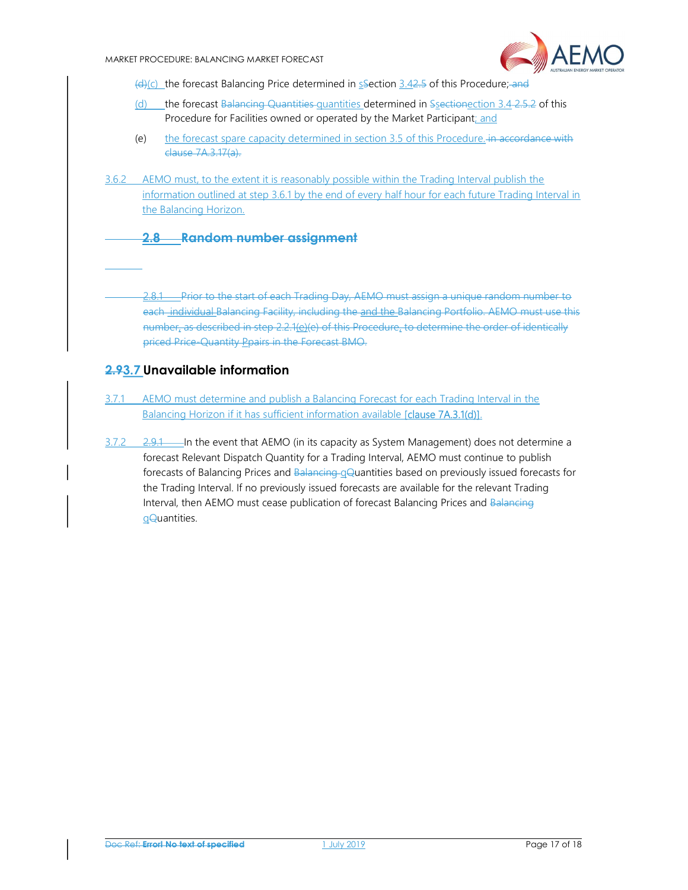

 $(d)(c)$  the forecast Balancing Price determined in  $s$ -Section 3.42.5 of this Procedure; and

- (d) the forecast Balancing Quantities quantities determined in Ssectionection  $3.4 2.5 2$  of this Procedure for Facilities owned or operated by the Market Participant; and
- (e) the forecast spare capacity determined in section 3.5 of this Procedure. in accordance with clause 7A.3.17(a).
- 3.6.2 AEMO must, to the extent it is reasonably possible within the Trading Interval publish the information outlined at step 3.6.1 by the end of every half hour for each future Trading Interval in the Balancing Horizon.
	- 2.8 Random number assignment

2.8.1 Prior to the start of each Trading Day, AEMO must assign a unique random number to each individual Balancing Facility, including the and the Balancing Portfolio. AEMO must use this number, as described in step 2.2.1(e)(e) of this Procedure, to determine the order of identically priced Price-Quantity Ppairs in the Forecast BMO.

# 2.93.7 Unavailable information

- 3.7.1 AEMO must determine and publish a Balancing Forecast for each Trading Interval in the Balancing Horizon if it has sufficient information available [clause 7A.3.1(d)].
- $\frac{3.7.2}{2.9.1}$  In the event that AEMO (in its capacity as System Management) does not determine a forecast Relevant Dispatch Quantity for a Trading Interval, AEMO must continue to publish forecasts of Balancing Prices and Balancing gQuantities based on previously issued forecasts for the Trading Interval. If no previously issued forecasts are available for the relevant Trading Interval, then AEMO must cease publication of forecast Balancing Prices and Balancing qQuantities.